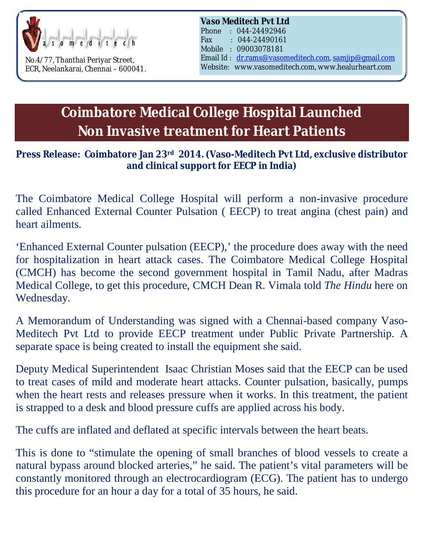

No.4/77, Thanthai Periyar Street, ECR, Neelankarai, Chennai – 600041. *Vaso Meditech Pvt Ltd*

Phone : 044-24492946 Fax : 044-24490161 Mobile : 09003078181 Email Id : [dr.rams@vasomeditech.com,](mailto:dr.rams@vasomeditech.com,) [samjip@gmail.com](mailto:samjip@gmail.com) Website: www.vasomeditech.com, [www.healurheart.com](http://www.healurheart.com)

## **Coimbatore Medical College Hospital Launched Non Invasive treatment for Heart Patients**

## **Press Release: Coimbatore Jan 23rd 2014. (Vaso-Meditech Pvt Ltd, exclusive distributor and clinical support for EECP in India)**

The Coimbatore Medical College Hospital will perform a non-invasive procedure called Enhanced External Counter Pulsation ( EECP) to treat angina (chest pain) and heart ailments.

'Enhanced External Counter pulsation (EECP),' the procedure does away with the need for hospitalization in heart attack cases. The Coimbatore Medical College Hospital (CMCH) has become the second government hospital in Tamil Nadu, after Madras Medical College, to get this procedure, CMCH Dean R. Vimala told *The Hindu* here on Wednesday.

A Memorandum of Understanding was signed with a Chennai-based company Vaso-Meditech Pvt Ltd to provide EECP treatment under Public Private Partnership. A separate space is being created to install the equipment she said.

Deputy Medical Superintendent Isaac Christian Moses said that the EECP can be used to treat cases of mild and moderate heart attacks. Counter pulsation, basically, pumps when the heart rests and releases pressure when it works. In this treatment, the patient is strapped to a desk and blood pressure cuffs are applied across his body.

The cuffs are inflated and deflated at specific intervals between the heart beats.

This is done to "stimulate the opening of small branches of blood vessels to create a natural bypass around blocked arteries," he said. The patient's vital parameters will be constantly monitored through an electrocardiogram (ECG). The patient has to undergo this procedure for an hour a day for a total of 35 hours, he said.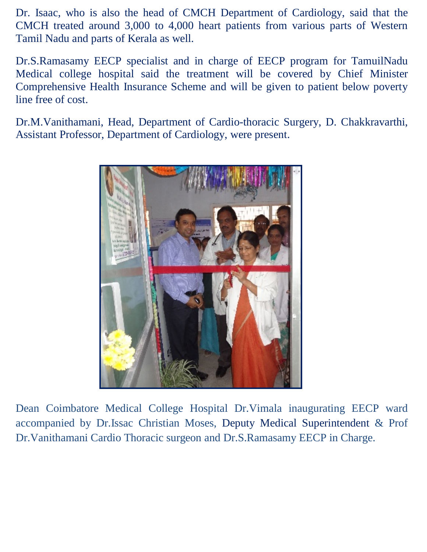Dr. Isaac, who is also the head of CMCH Department of Cardiology, said that the CMCH treated around 3,000 to 4,000 heart patients from various parts of Western Tamil Nadu and parts of Kerala as well.

Dr.S.Ramasamy EECP specialist and in charge of EECP program for TamuilNadu Medical college hospital said the treatment will be covered by Chief Minister Comprehensive Health Insurance Scheme and will be given to patient below poverty line free of cost.

Dr.M.Vanithamani, Head, Department of Cardio-thoracic Surgery, D. Chakkravarthi, Assistant Professor, Department of Cardiology, were present.



Dean Coimbatore Medical College Hospital Dr.Vimala inaugurating EECP ward accompanied by Dr.Issac Christian Moses, Deputy Medical Superintendent & Prof Dr.Vanithamani Cardio Thoracic surgeon and Dr.S.Ramasamy EECP in Charge.